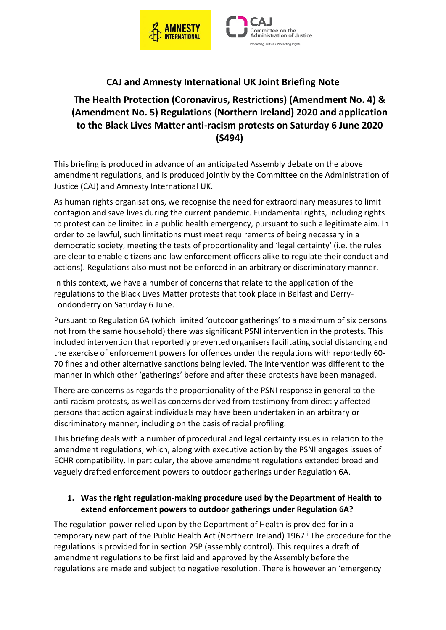



# **CAJ and Amnesty International UK Joint Briefing Note**

## **The Health Protection (Coronavirus, Restrictions) (Amendment No. 4) & (Amendment No. 5) Regulations (Northern Ireland) 2020 and application to the Black Lives Matter anti-racism protests on Saturday 6 June 2020 (S494)**

This briefing is produced in advance of an anticipated Assembly debate on the above amendment regulations, and is produced jointly by the Committee on the Administration of Justice (CAJ) and Amnesty International UK.

As human rights organisations, we recognise the need for extraordinary measures to limit contagion and save lives during the current pandemic. Fundamental rights, including rights to protest can be limited in a public health emergency, pursuant to such a legitimate aim. In order to be lawful, such limitations must meet requirements of being necessary in a democratic society, meeting the tests of proportionality and 'legal certainty' (i.e. the rules are clear to enable citizens and law enforcement officers alike to regulate their conduct and actions). Regulations also must not be enforced in an arbitrary or discriminatory manner.

In this context, we have a number of concerns that relate to the application of the regulations to the Black Lives Matter protests that took place in Belfast and Derry-Londonderry on Saturday 6 June.

Pursuant to Regulation 6A (which limited 'outdoor gatherings' to a maximum of six persons not from the same household) there was significant PSNI intervention in the protests. This included intervention that reportedly prevented organisers facilitating social distancing and the exercise of enforcement powers for offences under the regulations with reportedly 60- 70 fines and other alternative sanctions being levied. The intervention was different to the manner in which other 'gatherings' before and after these protests have been managed.

There are concerns as regards the proportionality of the PSNI response in general to the anti-racism protests, as well as concerns derived from testimony from directly affected persons that action against individuals may have been undertaken in an arbitrary or discriminatory manner, including on the basis of racial profiling.

This briefing deals with a number of procedural and legal certainty issues in relation to the amendment regulations, which, along with executive action by the PSNI engages issues of ECHR compatibility. In particular, the above amendment regulations extended broad and vaguely drafted enforcement powers to outdoor gatherings under Regulation 6A.

#### **1. Was the right regulation-making procedure used by the Department of Health to extend enforcement powers to outdoor gatherings under Regulation 6A?**

The regulation power relied upon by the Department of Health is provided for in a temporary new part of the Public Health Act (Northern Ireland) 1967. <sup>i</sup> The procedure for the regulations is provided for in section 25P (assembly control). This requires a draft of amendment regulations to be first laid and approved by the Assembly before the regulations are made and subject to negative resolution. There is however an 'emergency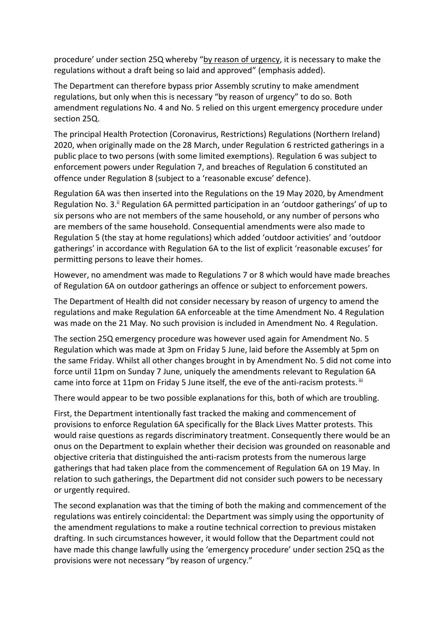procedure' under section 25Q whereby "by reason of urgency, it is necessary to make the regulations without a draft being so laid and approved" (emphasis added).

The Department can therefore bypass prior Assembly scrutiny to make amendment regulations, but only when this is necessary "by reason of urgency" to do so. Both amendment regulations No. 4 and No. 5 relied on this urgent emergency procedure under section 25Q.

The principal Health Protection (Coronavirus, Restrictions) Regulations (Northern Ireland) 2020, when originally made on the 28 March, under Regulation 6 restricted gatherings in a public place to two persons (with some limited exemptions). Regulation 6 was subject to enforcement powers under Regulation 7, and breaches of Regulation 6 constituted an offence under Regulation 8 (subject to a 'reasonable excuse' defence).

Regulation 6A was then inserted into the Regulations on the 19 May 2020, by Amendment Regulation No. 3.<sup>ii</sup> Regulation 6A permitted participation in an 'outdoor gatherings' of up to six persons who are not members of the same household, or any number of persons who are members of the same household. Consequential amendments were also made to Regulation 5 (the stay at home regulations) which added 'outdoor activities' and 'outdoor gatherings' in accordance with Regulation 6A to the list of explicit 'reasonable excuses' for permitting persons to leave their homes.

However, no amendment was made to Regulations 7 or 8 which would have made breaches of Regulation 6A on outdoor gatherings an offence or subject to enforcement powers.

The Department of Health did not consider necessary by reason of urgency to amend the regulations and make Regulation 6A enforceable at the time Amendment No. 4 Regulation was made on the 21 May. No such provision is included in Amendment No. 4 Regulation.

The section 25Q emergency procedure was however used again for Amendment No. 5 Regulation which was made at 3pm on Friday 5 June, laid before the Assembly at 5pm on the same Friday. Whilst all other changes brought in by Amendment No. 5 did not come into force until 11pm on Sunday 7 June, uniquely the amendments relevant to Regulation 6A came into force at 11pm on Friday 5 June itself, the eve of the anti-racism protests. iii

There would appear to be two possible explanations for this, both of which are troubling.

First, the Department intentionally fast tracked the making and commencement of provisions to enforce Regulation 6A specifically for the Black Lives Matter protests. This would raise questions as regards discriminatory treatment. Consequently there would be an onus on the Department to explain whether their decision was grounded on reasonable and objective criteria that distinguished the anti-racism protests from the numerous large gatherings that had taken place from the commencement of Regulation 6A on 19 May. In relation to such gatherings, the Department did not consider such powers to be necessary or urgently required.

The second explanation was that the timing of both the making and commencement of the regulations was entirely coincidental: the Department was simply using the opportunity of the amendment regulations to make a routine technical correction to previous mistaken drafting. In such circumstances however, it would follow that the Department could not have made this change lawfully using the 'emergency procedure' under section 25Q as the provisions were not necessary "by reason of urgency."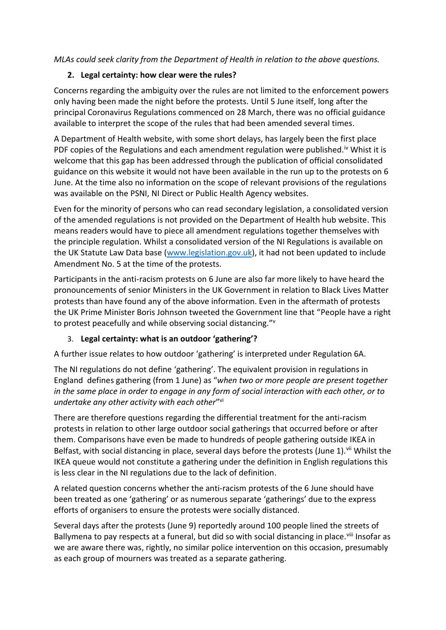*MLAs could seek clarity from the Department of Health in relation to the above questions.*

#### **2. Legal certainty: how clear were the rules?**

Concerns regarding the ambiguity over the rules are not limited to the enforcement powers only having been made the night before the protests. Until 5 June itself, long after the principal Coronavirus Regulations commenced on 28 March, there was no official guidance available to interpret the scope of the rules that had been amended several times.

A Department of Health website, with some short delays, has largely been the first place PDF copies of the Regulations and each amendment regulation were published.<sup>iv</sup> Whist it is welcome that this gap has been addressed through the publication of official consolidated guidance on this website it would not have been available in the run up to the protests on 6 June. At the time also no information on the scope of relevant provisions of the regulations was available on the PSNI, NI Direct or Public Health Agency websites.

Even for the minority of persons who can read secondary legislation, a consolidated version of the amended regulations is not provided on the Department of Health hub website. This means readers would have to piece all amendment regulations together themselves with the principle regulation. Whilst a consolidated version of the NI Regulations is available on the UK Statute Law Data base [\(www.legislation.gov.uk\)](http://www.legislation.gov.uk/), it had not been updated to include Amendment No. 5 at the time of the protests.

Participants in the anti-racism protests on 6 June are also far more likely to have heard the pronouncements of senior Ministers in the UK Government in relation to Black Lives Matter protests than have found any of the above information. Even in the aftermath of protests the UK Prime Minister Boris Johnson tweeted the Government line that "People have a right to protest peacefully and while observing social distancing."<sup>v</sup>

#### 3. **Legal certainty: what is an outdoor 'gathering'?**

A further issue relates to how outdoor 'gathering' is interpreted under Regulation 6A.

The NI regulations do not define 'gathering'. The equivalent provision in regulations in England defines gathering (from 1 June) as "*when two or more people are present together in the same place in order to engage in any form of social interaction with each other, or to undertake any other activity with each other*" vi

There are therefore questions regarding the differential treatment for the anti-racism protests in relation to other large outdoor social gatherings that occurred before or after them. Comparisons have even be made to hundreds of people gathering outside IKEA in Belfast, with social distancing in place, several days before the protests (June 1). Vii Whilst the IKEA queue would not constitute a gathering under the definition in English regulations this is less clear in the NI regulations due to the lack of definition.

A related question concerns whether the anti-racism protests of the 6 June should have been treated as one 'gathering' or as numerous separate 'gatherings' due to the express efforts of organisers to ensure the protests were socially distanced.

Several days after the protests (June 9) reportedly around 100 people lined the streets of Ballymena to pay respects at a funeral, but did so with social distancing in place.<sup>viii</sup> Insofar as we are aware there was, rightly, no similar police intervention on this occasion, presumably as each group of mourners was treated as a separate gathering.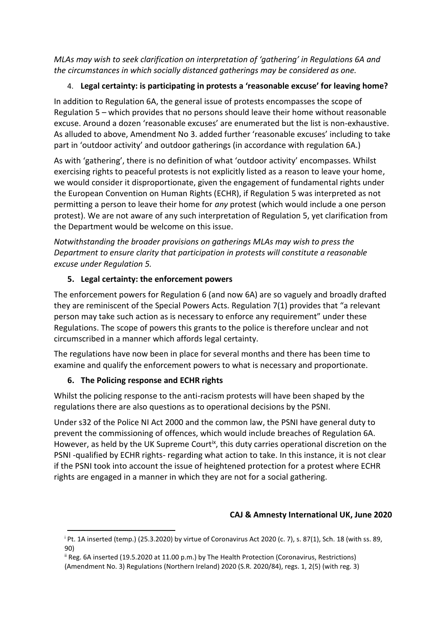*MLAs may wish to seek clarification on interpretation of 'gathering' in Regulations 6A and the circumstances in which socially distanced gatherings may be considered as one.* 

## 4. **Legal certainty: is participating in protests a 'reasonable excuse' for leaving home?**

In addition to Regulation 6A, the general issue of protests encompasses the scope of Regulation 5 – which provides that no persons should leave their home without reasonable excuse. Around a dozen 'reasonable excuses' are enumerated but the list is non-exhaustive. As alluded to above, Amendment No 3. added further 'reasonable excuses' including to take part in 'outdoor activity' and outdoor gatherings (in accordance with regulation 6A.)

As with 'gathering', there is no definition of what 'outdoor activity' encompasses. Whilst exercising rights to peaceful protests is not explicitly listed as a reason to leave your home, we would consider it disproportionate, given the engagement of fundamental rights under the European Convention on Human Rights (ECHR), if Regulation 5 was interpreted as not permitting a person to leave their home for *any* protest (which would include a one person protest). We are not aware of any such interpretation of Regulation 5, yet clarification from the Department would be welcome on this issue.

*Notwithstanding the broader provisions on gatherings MLAs may wish to press the Department to ensure clarity that participation in protests will constitute a reasonable excuse under Regulation 5.* 

## **5. Legal certainty: the enforcement powers**

The enforcement powers for Regulation 6 (and now 6A) are so vaguely and broadly drafted they are reminiscent of the Special Powers Acts. Regulation 7(1) provides that "a relevant person may take such action as is necessary to enforce any requirement" under these Regulations. The scope of powers this grants to the police is therefore unclear and not circumscribed in a manner which affords legal certainty.

The regulations have now been in place for several months and there has been time to examine and qualify the enforcement powers to what is necessary and proportionate.

### **6. The Policing response and ECHR rights**

Whilst the policing response to the anti-racism protests will have been shaped by the regulations there are also questions as to operational decisions by the PSNI.

Under s32 of the Police NI Act 2000 and the common law, the PSNI have general duty to prevent the commissioning of offences, which would include breaches of Regulation 6A. However, as held by the UK Supreme Court<sup>ix</sup>, this duty carries operational discretion on the PSNI -qualified by ECHR rights- regarding what action to take. In this instance, it is not clear if the PSNI took into account the issue of heightened protection for a protest where ECHR rights are engaged in a manner in which they are not for a social gathering.

## **CAJ & Amnesty International UK, June 2020**

<sup>i</sup> Pt. 1A inserted (temp.) (25.3.2020) by virtue of Coronavirus Act 2020 (c. 7), s. 87(1), Sch. 18 (with ss. 89, 90)

ii Reg. 6A inserted (19.5.2020 at 11.00 p.m.) by The Health Protection (Coronavirus, Restrictions) (Amendment No. 3) Regulations (Northern Ireland) 2020 (S.R. 2020/84), regs. 1, 2(5) (with reg. 3)